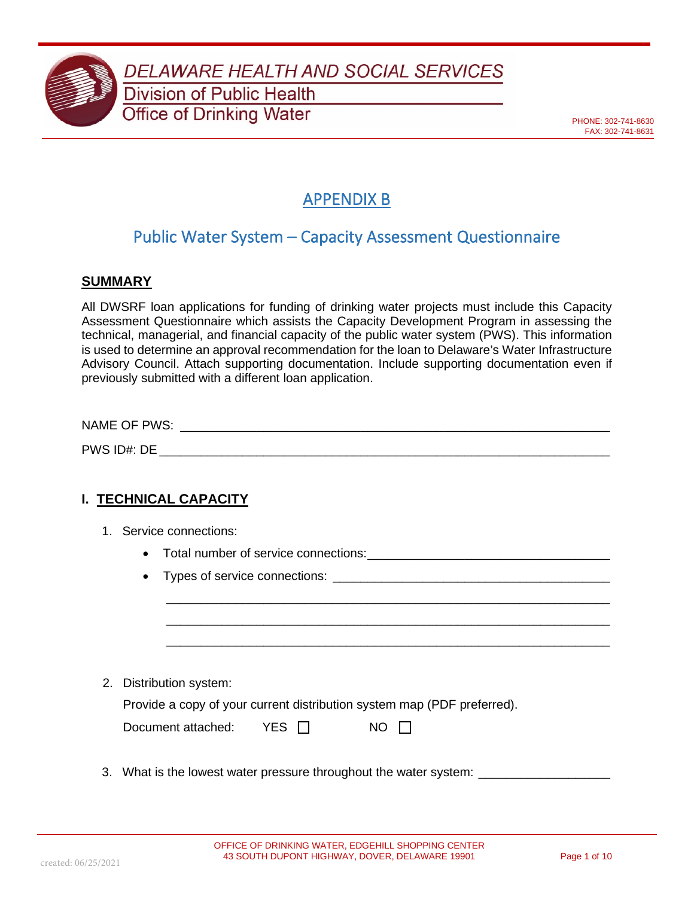

DELAWARE HEALTH AND SOCIAL SERVICES **Division of Public Health** 

**Office of Drinking Water** 

PHONE: 302-741-8630 FAX: 302-741-8631

# APPENDIX B

## Public Water System – Capacity Assessment Questionnaire

#### **SUMMARY**

All DWSRF loan applications for funding of drinking water projects must include this Capacity Assessment Questionnaire which assists the Capacity Development Program in assessing the technical, managerial, and financial capacity of the public water system (PWS). This information is used to determine an approval recommendation for the loan to Delaware's Water Infrastructure Advisory Council. Attach supporting documentation. Include supporting documentation even if previously submitted with a different loan application.

| <b>NAME OF PWS:</b> |  |  |  |
|---------------------|--|--|--|
| PWS ID#: DE         |  |  |  |

### **I. TECHNICAL CAPACITY**

- 1. Service connections:
	- Total number of service connections:\_\_\_\_\_\_\_\_\_\_\_\_\_\_\_\_\_\_\_\_\_\_\_\_\_\_\_\_\_\_\_\_\_\_\_
	- Types of service connections:

2. Distribution system:

| Provide a copy of your current distribution system map (PDF preferred). |  |  |  |
|-------------------------------------------------------------------------|--|--|--|
|-------------------------------------------------------------------------|--|--|--|

| Document attached: | YES $\Gamma$ | $NO$ $\Box$ |
|--------------------|--------------|-------------|
|--------------------|--------------|-------------|

3. What is the lowest water pressure throughout the water system: \_\_\_\_\_\_\_\_\_\_\_\_\_\_

\_\_\_\_\_\_\_\_\_\_\_\_\_\_\_\_\_\_\_\_\_\_\_\_\_\_\_\_\_\_\_\_\_\_\_\_\_\_\_\_\_\_\_\_\_\_\_\_\_\_\_\_\_\_\_\_\_\_\_\_\_\_\_\_ \_\_\_\_\_\_\_\_\_\_\_\_\_\_\_\_\_\_\_\_\_\_\_\_\_\_\_\_\_\_\_\_\_\_\_\_\_\_\_\_\_\_\_\_\_\_\_\_\_\_\_\_\_\_\_\_\_\_\_\_\_\_\_\_ \_\_\_\_\_\_\_\_\_\_\_\_\_\_\_\_\_\_\_\_\_\_\_\_\_\_\_\_\_\_\_\_\_\_\_\_\_\_\_\_\_\_\_\_\_\_\_\_\_\_\_\_\_\_\_\_\_\_\_\_\_\_\_\_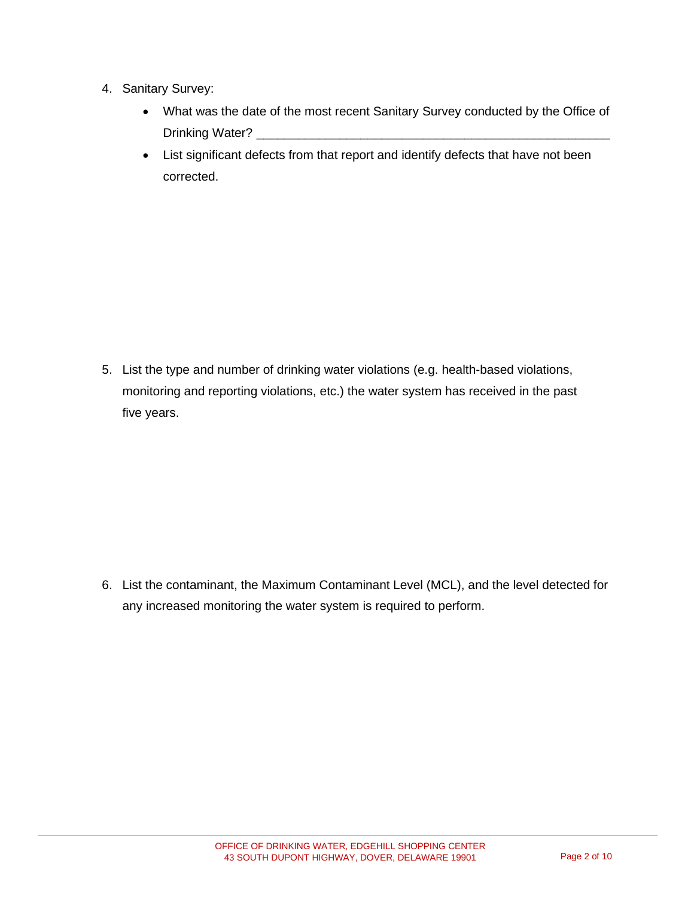- 4. Sanitary Survey:
	- What was the date of the most recent Sanitary Survey conducted by the Office of Drinking Water?
	- List significant defects from that report and identify defects that have not been corrected.

5. List the type and number of drinking water violations (e.g. health-based violations, monitoring and reporting violations, etc.) the water system has received in the past five years.

6. List the contaminant, the Maximum Contaminant Level (MCL), and the level detected for any increased monitoring the water system is required to perform.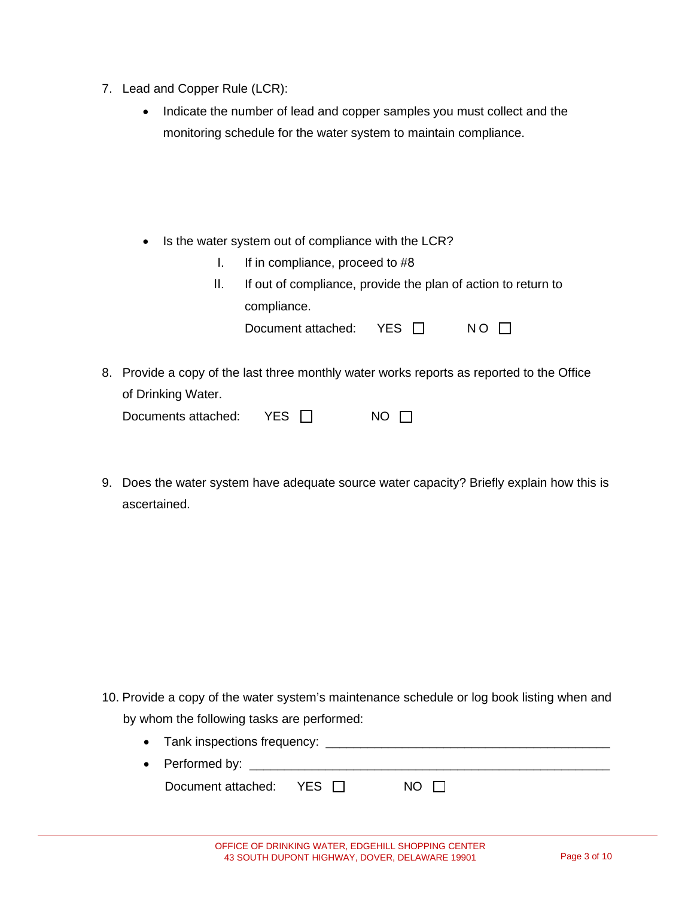- 7. Lead and Copper Rule (LCR):
	- Indicate the number of lead and copper samples you must collect and the monitoring schedule for the water system to maintain compliance.

• Is the water system out of compliance with the LCR?

- I. If in compliance, proceed to #8
- II. If out of compliance, provide the plan of action to return to compliance.

| Document attached: | YES L | $NO$ $\Box$ |
|--------------------|-------|-------------|
|--------------------|-------|-------------|

8. Provide a copy of the last three monthly water works reports as reported to the Office of Drinking Water.

| Documents attached: | YES $\Box$ | $NO$ $\Box$ |
|---------------------|------------|-------------|
|---------------------|------------|-------------|

9. Does the water system have adequate source water capacity? Briefly explain how this is ascertained.

10. Provide a copy of the water system's maintenance schedule or log book listing when and by whom the following tasks are performed:

• Tank inspections frequency: \_\_\_\_\_\_\_\_\_\_\_\_\_\_\_\_\_\_\_\_\_\_\_\_\_\_\_\_\_\_\_\_\_\_\_\_\_\_\_\_\_ • Performed by:  $\overline{\phantom{a} \phantom{a}}$ Document attached: YES □ NO □

| OFFICE OF DRINKING WATER, EDGEHILL SHOPPING CENTER |  |  |
|----------------------------------------------------|--|--|
| 43 SOUTH DUPONT HIGHWAY, DOVER, DELAWARE 19901     |  |  |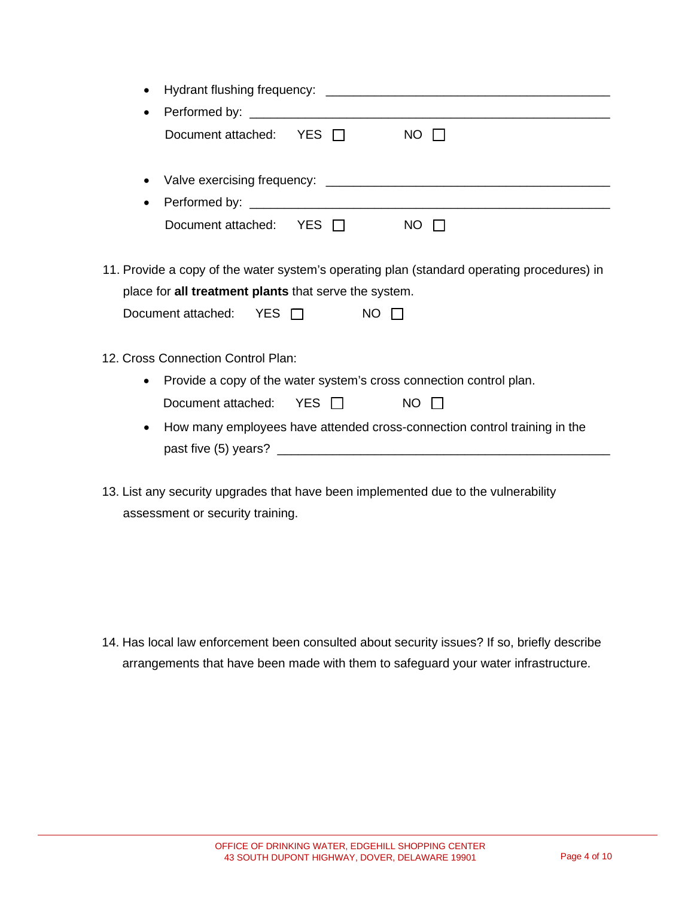| $\bullet$                                                                                                                                           |                               |             |                                                                                                                 |  |
|-----------------------------------------------------------------------------------------------------------------------------------------------------|-------------------------------|-------------|-----------------------------------------------------------------------------------------------------------------|--|
| ٠                                                                                                                                                   |                               |             |                                                                                                                 |  |
|                                                                                                                                                     | Document attached: $YES \Box$ |             | $NO$ $\Box$                                                                                                     |  |
| ٠                                                                                                                                                   |                               |             |                                                                                                                 |  |
| $\bullet$                                                                                                                                           |                               |             |                                                                                                                 |  |
|                                                                                                                                                     | Document attached: YES □      |             | $NO$ $\Box$                                                                                                     |  |
| 11. Provide a copy of the water system's operating plan (standard operating procedures) in<br>place for all treatment plants that serve the system. |                               |             |                                                                                                                 |  |
| Document attached: $YES \Box$                                                                                                                       |                               | $NO$ $\Box$ |                                                                                                                 |  |
| 12. Cross Connection Control Plan:                                                                                                                  |                               |             |                                                                                                                 |  |
| $\bullet$                                                                                                                                           |                               |             | Provide a copy of the water system's cross connection control plan.                                             |  |
| Document attached:                                                                                                                                  |                               | YES $\Box$  | $NO$ $\Box$                                                                                                     |  |
| $\bullet$                                                                                                                                           |                               |             | How many employees have attended cross-connection control training in the                                       |  |
|                                                                                                                                                     |                               |             |                                                                                                                 |  |
|                                                                                                                                                     |                               |             | the contract of the contract of the contract of the contract of the contract of the contract of the contract of |  |

13. List any security upgrades that have been implemented due to the vulnerability assessment or security training.

14. Has local law enforcement been consulted about security issues? If so, briefly describe arrangements that have been made with them to safeguard your water infrastructure.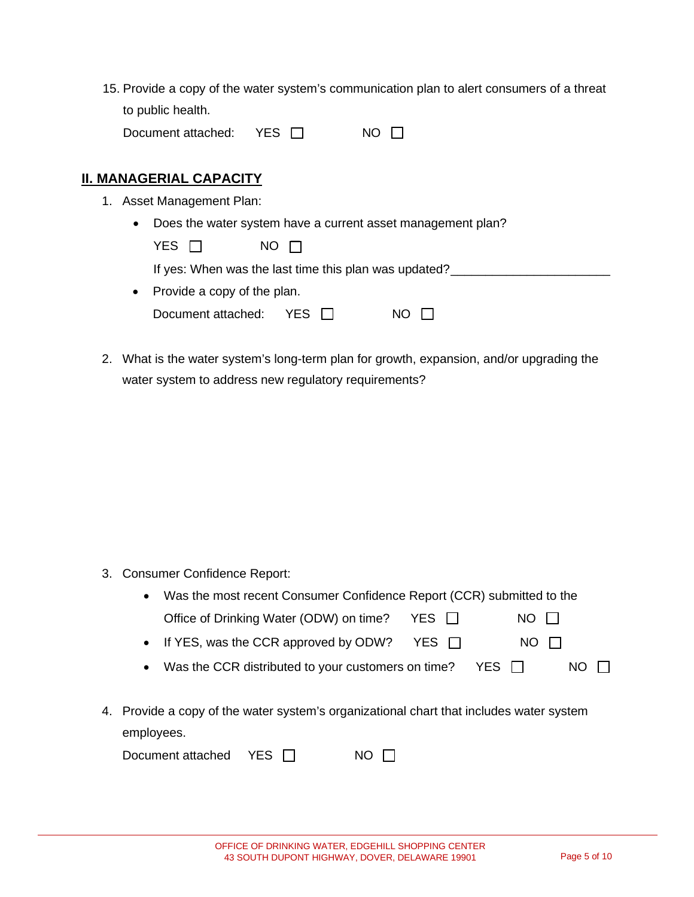| 15. Provide a copy of the water system's communication plan to alert consumers of a threat |
|--------------------------------------------------------------------------------------------|
| to public health.                                                                          |
|                                                                                            |

| Document attached: | YES □ | $NO$ $\Box$ |
|--------------------|-------|-------------|
|--------------------|-------|-------------|

### **II. MANAGERIAL CAPACITY**

- 1. Asset Management Plan:
	- Does the water system have a current asset management plan?

| YES <sub>I</sub>              | NO IT                                                 |     |  |
|-------------------------------|-------------------------------------------------------|-----|--|
|                               | If yes: When was the last time this plan was updated? |     |  |
| • Provide a copy of the plan. |                                                       |     |  |
| Document attached: $YES$      |                                                       | NO. |  |

2. What is the water system's long-term plan for growth, expansion, and/or upgrading the water system to address new regulatory requirements?

3. Consumer Confidence Report:

| $\bullet$ | Was the most recent Consumer Confidence Report (CCR) submitted to the              |        |        |     |  |
|-----------|------------------------------------------------------------------------------------|--------|--------|-----|--|
|           | Office of Drinking Water (ODW) on time?                                            | YES II | NO.    |     |  |
|           | • If YES, was the CCR approved by ODW?                                             | YES IT | NO II  |     |  |
| $\bullet$ | Was the CCR distributed to your customers on time?                                 |        | YES II | NO. |  |
|           |                                                                                    |        |        |     |  |
|           | ovide a copy of the water system's organizational chart that includes water system |        |        |     |  |

4. Provide a copy of the water system's organizational chart that includes water system employees.

| Document attached $YES$ $\Box$ |  | $NO$ $\Box$ |
|--------------------------------|--|-------------|
|--------------------------------|--|-------------|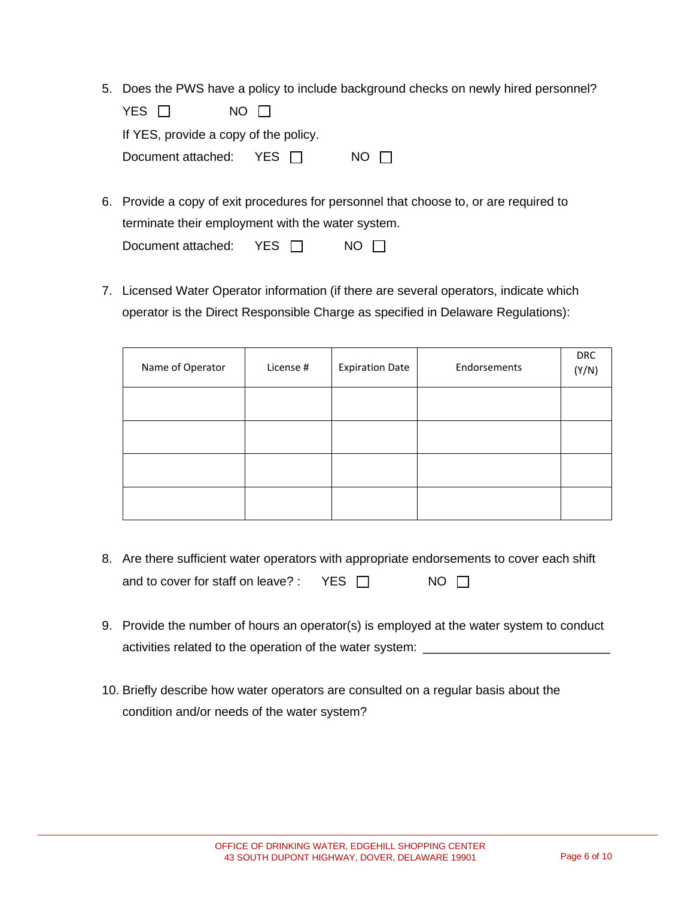5. Does the PWS have a policy to include background checks on newly hired personnel?

| YES N                                 | $NO$ $\Box$ |             |  |
|---------------------------------------|-------------|-------------|--|
| If YES, provide a copy of the policy. |             |             |  |
| Document attached: $YES \Box$         |             | $NO$ $\Box$ |  |

- 6. Provide a copy of exit procedures for personnel that choose to, or are required to terminate their employment with the water system. Document attached: YES <del>□</del> NO □
- 7. Licensed Water Operator information (if there are several operators, indicate which operator is the Direct Responsible Charge as specified in Delaware Regulations):

| Name of Operator | License # | <b>Expiration Date</b> | Endorsements | <b>DRC</b><br>(Y/N) |
|------------------|-----------|------------------------|--------------|---------------------|
|                  |           |                        |              |                     |
|                  |           |                        |              |                     |
|                  |           |                        |              |                     |
|                  |           |                        |              |                     |

- 8. Are there sufficient water operators with appropriate endorsements to cover each shift and to cover for staff on leave? : YES  $\Box$  NO  $\Box$
- 9. Provide the number of hours an operator(s) is employed at the water system to conduct activities related to the operation of the water system: \_
- 10. Briefly describe how water operators are consulted on a regular basis about the condition and/or needs of the water system?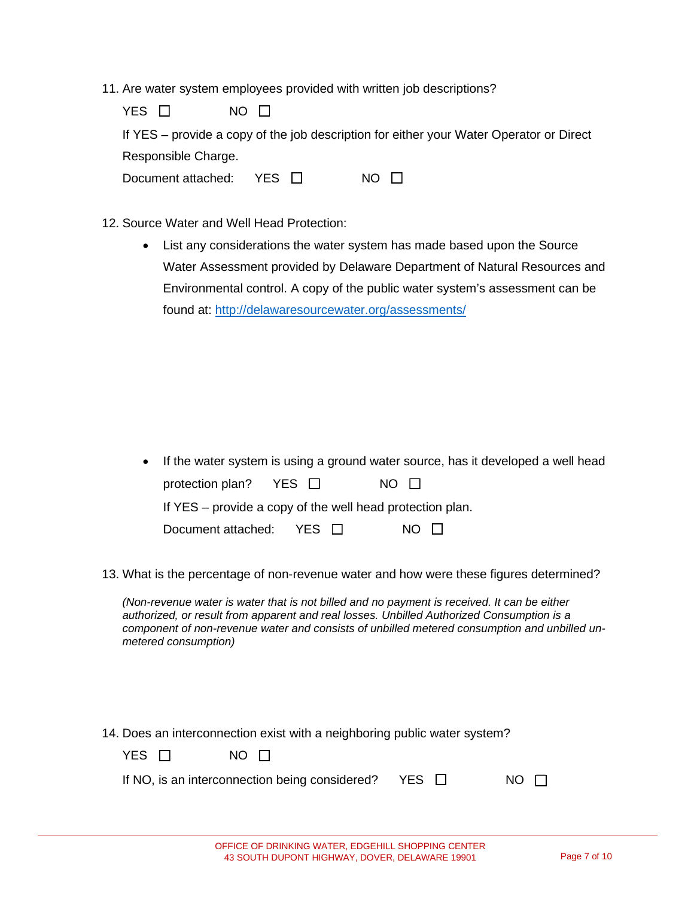11. Are water system employees provided with written job descriptions?

| YES □                     | NO IT |                                                                                         |
|---------------------------|-------|-----------------------------------------------------------------------------------------|
|                           |       | If YES – provide a copy of the job description for either your Water Operator or Direct |
| Responsible Charge.       |       |                                                                                         |
| Document attached: YES II |       | NO.                                                                                     |

- 12. Source Water and Well Head Protection:
	- List any considerations the water system has made based upon the Source Water Assessment provided by Delaware Department of Natural Resources and Environmental control. A copy of the public water system's assessment can be found at:<http://delawaresourcewater.org/assessments/>

- If the water system is using a ground water source, has it developed a well head protection plan? YES □ NO □ If YES – provide a copy of the well head protection plan. Document attached: YES □ NO □
- 13. What is the percentage of non-revenue water and how were these figures determined?

*(Non-revenue water is water that is not billed and no payment is received. It can be either authorized, or result from apparent and real losses. Unbilled Authorized Consumption is a component of non-revenue water and consists of unbilled metered consumption and unbilled unmetered consumption)*

14. Does an interconnection exist with a neighboring public water system?

| YES □ | NO IT                                                     |             |
|-------|-----------------------------------------------------------|-------------|
|       | If NO, is an interconnection being considered? YES $\Box$ | $NO$ $\Box$ |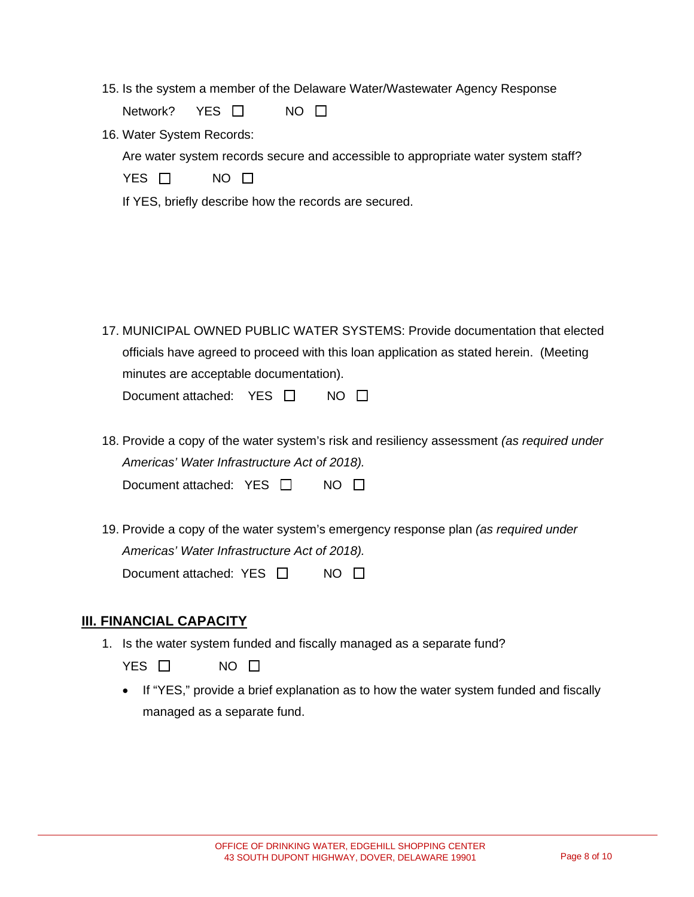15. Is the system a member of the Delaware Water/Wastewater Agency Response

Network? YES □ NO □

16. Water System Records:

Are water system records secure and accessible to appropriate water system staff?

| YES. | NO |  |
|------|----|--|
|------|----|--|

If YES, briefly describe how the records are secured.

17. MUNICIPAL OWNED PUBLIC WATER SYSTEMS: Provide documentation that elected officials have agreed to proceed with this loan application as stated herein. (Meeting minutes are acceptable documentation).

Document attached: YES □ NO □

18. Provide a copy of the water system's risk and resiliency assessment *(as required under Americas' Water Infrastructure Act of 2018).* 

Document attached: YES □ NO □

19. Provide a copy of the water system's emergency response plan *(as required under Americas' Water Infrastructure Act of 2018).*  Document attached: YES □ NO □

### **III. FINANCIAL CAPACITY**

1. Is the water system funded and fiscally managed as a separate fund?

YES □ NO □

• If "YES," provide a brief explanation as to how the water system funded and fiscally managed as a separate fund.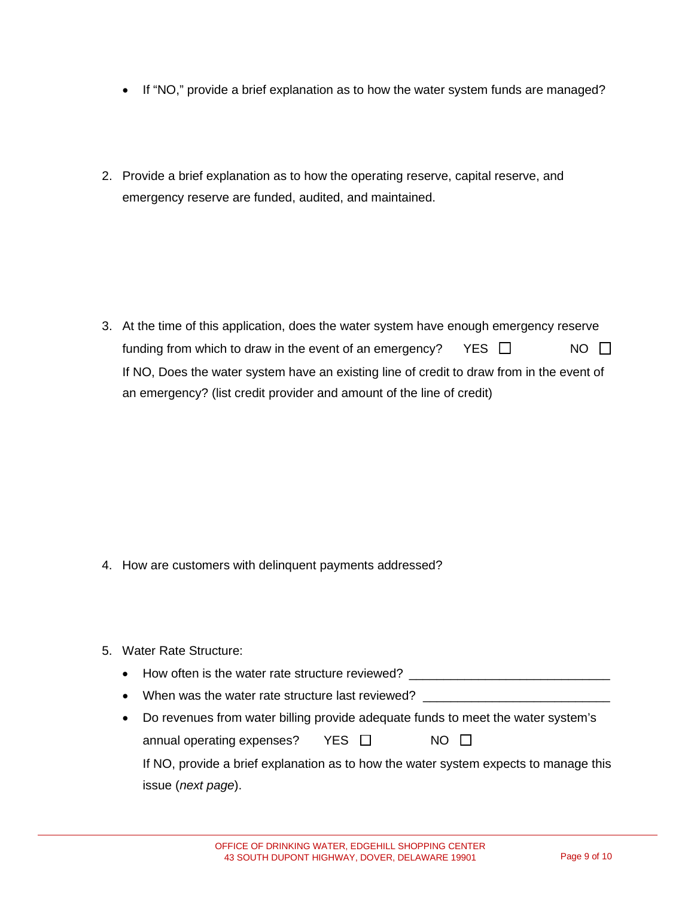- If "NO," provide a brief explanation as to how the water system funds are managed?
- 2. Provide a brief explanation as to how the operating reserve, capital reserve, and emergency reserve are funded, audited, and maintained.

3. At the time of this application, does the water system have enough emergency reserve funding from which to draw in the event of an emergency? YES  $\Box$  NO  $\Box$ If NO, Does the water system have an existing line of credit to draw from in the event of an emergency? (list credit provider and amount of the line of credit)

- 4. How are customers with delinquent payments addressed?
- 5. Water Rate Structure:
	- How often is the water rate structure reviewed?
	- When was the water rate structure last reviewed?
	- Do revenues from water billing provide adequate funds to meet the water system's annual operating expenses? YES □ NO □ If NO, provide a brief explanation as to how the water system expects to manage this issue (*next page*).